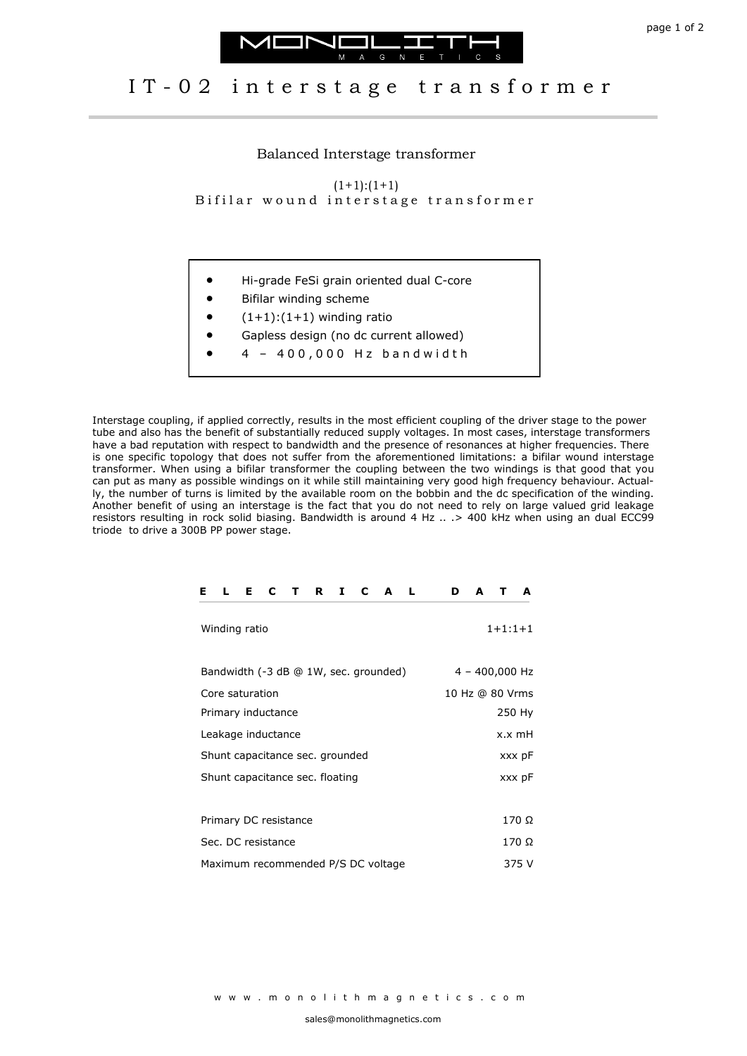



## IT-02 interstage transformer

Balanced Interstage transformer

 $(1+1):(1+1)$ 

Bifilar wound interstage transformer

- Hi-grade FeSi grain oriented dual C-core
- Bifilar winding scheme
- $(1+1):(1+1)$  winding ratio
- Gapless design (no dc current allowed)
- 4 4 0 0 , 0 0 0 H z b a n d w i d t h

Interstage coupling, if applied correctly, results in the most efficient coupling of the driver stage to the power tube and also has the benefit of substantially reduced supply voltages. In most cases, interstage transformers have a bad reputation with respect to bandwidth and the presence of resonances at higher frequencies. There is one specific topology that does not suffer from the aforementioned limitations: a bifilar wound interstage transformer. When using a bifilar transformer the coupling between the two windings is that good that you can put as many as possible windings on it while still maintaining very good high frequency behaviour. Actually, the number of turns is limited by the available room on the bobbin and the dc specification of the winding. Another benefit of using an interstage is the fact that you do not need to rely on large valued grid leakage resistors resulting in rock solid biasing. Bandwidth is around 4 Hz .. .> 400 kHz when using an dual ECC99 triode to drive a 300B PP power stage.

| C<br>Е<br>R<br>C<br>Ι.<br>A<br>Е<br>т | D<br>A<br>A<br>т |
|---------------------------------------|------------------|
| Winding ratio                         | $1+1:1+1$        |
| Bandwidth (-3 dB @ 1W, sec. grounded) | $4 - 400,000$ Hz |
| Core saturation                       | 10 Hz @ 80 Vrms  |
| Primary inductance                    | 250 Hy           |
| Leakage inductance                    | x.x mH           |
| Shunt capacitance sec. grounded       | xxx pF           |
| Shunt capacitance sec. floating       | xxx pF           |
|                                       |                  |
| Primary DC resistance                 | 170 Ω            |
| Sec. DC resistance                    | 170 Ω            |
| Maximum recommended P/S DC voltage    | 375 V            |

w w w . m o n o l i t h m a g n e t i c s . c o m